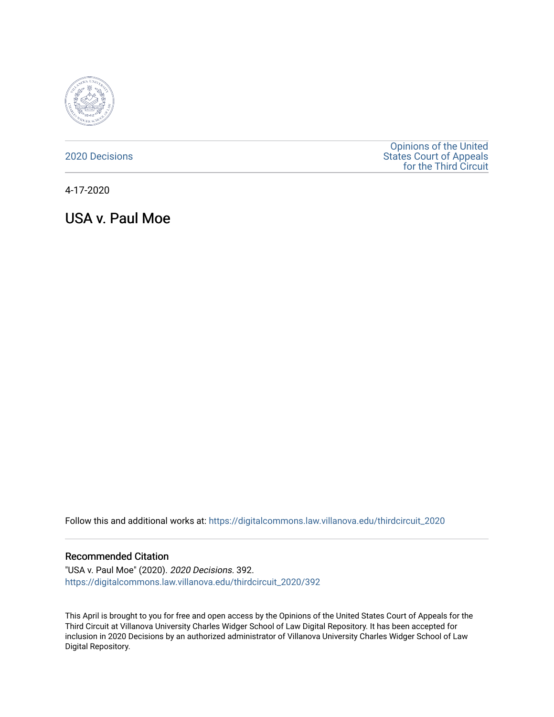

[2020 Decisions](https://digitalcommons.law.villanova.edu/thirdcircuit_2020)

[Opinions of the United](https://digitalcommons.law.villanova.edu/thirdcircuit)  [States Court of Appeals](https://digitalcommons.law.villanova.edu/thirdcircuit)  [for the Third Circuit](https://digitalcommons.law.villanova.edu/thirdcircuit) 

4-17-2020

USA v. Paul Moe

Follow this and additional works at: [https://digitalcommons.law.villanova.edu/thirdcircuit\\_2020](https://digitalcommons.law.villanova.edu/thirdcircuit_2020?utm_source=digitalcommons.law.villanova.edu%2Fthirdcircuit_2020%2F392&utm_medium=PDF&utm_campaign=PDFCoverPages) 

#### Recommended Citation

"USA v. Paul Moe" (2020). 2020 Decisions. 392. [https://digitalcommons.law.villanova.edu/thirdcircuit\\_2020/392](https://digitalcommons.law.villanova.edu/thirdcircuit_2020/392?utm_source=digitalcommons.law.villanova.edu%2Fthirdcircuit_2020%2F392&utm_medium=PDF&utm_campaign=PDFCoverPages)

This April is brought to you for free and open access by the Opinions of the United States Court of Appeals for the Third Circuit at Villanova University Charles Widger School of Law Digital Repository. It has been accepted for inclusion in 2020 Decisions by an authorized administrator of Villanova University Charles Widger School of Law Digital Repository.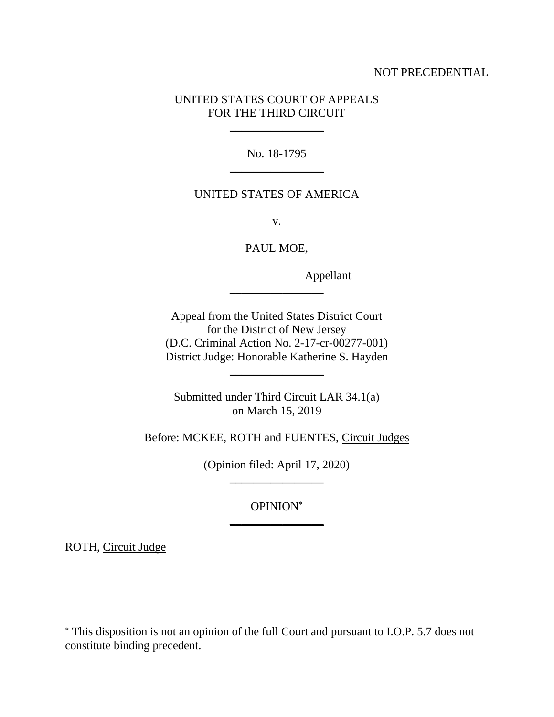## NOT PRECEDENTIAL

# UNITED STATES COURT OF APPEALS FOR THE THIRD CIRCUIT

\_\_\_\_\_\_\_\_\_\_\_\_\_\_\_\_

No. 18-1795  $\frac{1}{2}$ 

## UNITED STATES OF AMERICA

v.

PAUL MOE,

 $\frac{1}{2}$ 

Appellant

Appeal from the United States District Court for the District of New Jersey (D.C. Criminal Action No. 2-17-cr-00277-001) District Judge: Honorable Katherine S. Hayden

Submitted under Third Circuit LAR 34.1(a) on March 15, 2019

 $\frac{1}{2}$ 

Before: MCKEE, ROTH and FUENTES, Circuit Judges

(Opinion filed: April 17, 2020)  $\frac{1}{2}$ 

> OPINION \_\_\_\_\_\_\_\_\_\_\_\_\_\_\_\_

ROTH, Circuit Judge

This disposition is not an opinion of the full Court and pursuant to I.O.P. 5.7 does not constitute binding precedent.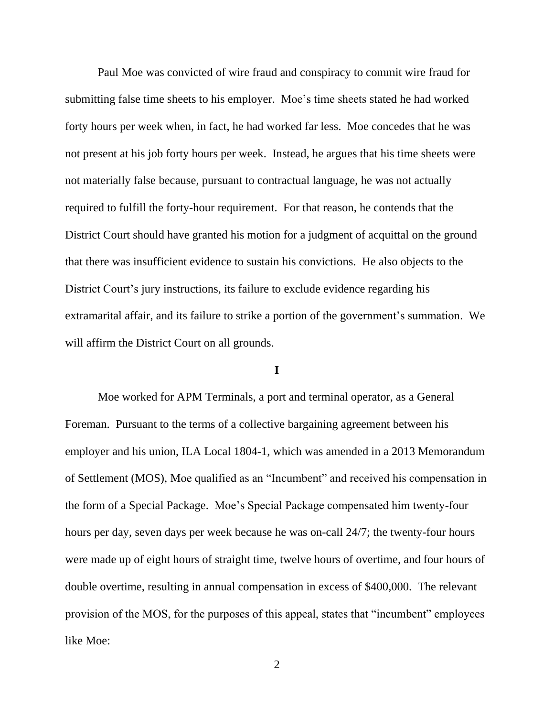Paul Moe was convicted of wire fraud and conspiracy to commit wire fraud for submitting false time sheets to his employer. Moe's time sheets stated he had worked forty hours per week when, in fact, he had worked far less. Moe concedes that he was not present at his job forty hours per week. Instead, he argues that his time sheets were not materially false because, pursuant to contractual language, he was not actually required to fulfill the forty-hour requirement. For that reason, he contends that the District Court should have granted his motion for a judgment of acquittal on the ground that there was insufficient evidence to sustain his convictions. He also objects to the District Court's jury instructions, its failure to exclude evidence regarding his extramarital affair, and its failure to strike a portion of the government's summation. We will affirm the District Court on all grounds.

#### **I**

Moe worked for APM Terminals, a port and terminal operator, as a General Foreman. Pursuant to the terms of a collective bargaining agreement between his employer and his union, ILA Local 1804-1, which was amended in a 2013 Memorandum of Settlement (MOS), Moe qualified as an "Incumbent" and received his compensation in the form of a Special Package. Moe's Special Package compensated him twenty-four hours per day, seven days per week because he was on-call 24/7; the twenty-four hours were made up of eight hours of straight time, twelve hours of overtime, and four hours of double overtime, resulting in annual compensation in excess of \$400,000. The relevant provision of the MOS, for the purposes of this appeal, states that "incumbent" employees like Moe:

2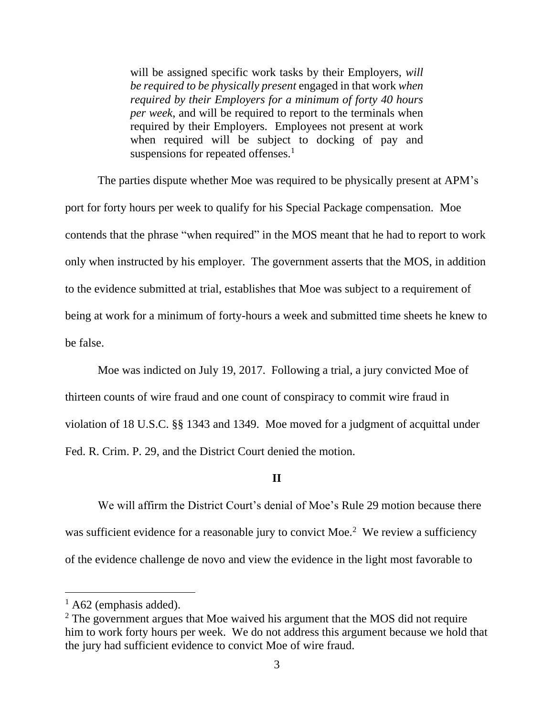will be assigned specific work tasks by their Employers, *will be required to be physically present* engaged in that work *when required by their Employers for a minimum of forty 40 hours per week*, and will be required to report to the terminals when required by their Employers. Employees not present at work when required will be subject to docking of pay and suspensions for repeated offenses.<sup>1</sup>

The parties dispute whether Moe was required to be physically present at APM's port for forty hours per week to qualify for his Special Package compensation. Moe contends that the phrase "when required" in the MOS meant that he had to report to work only when instructed by his employer. The government asserts that the MOS, in addition to the evidence submitted at trial, establishes that Moe was subject to a requirement of being at work for a minimum of forty-hours a week and submitted time sheets he knew to be false.

Moe was indicted on July 19, 2017. Following a trial, a jury convicted Moe of thirteen counts of wire fraud and one count of conspiracy to commit wire fraud in violation of 18 U.S.C. §§ 1343 and 1349. Moe moved for a judgment of acquittal under Fed. R. Crim. P. 29, and the District Court denied the motion.

### **II**

We will affirm the District Court's denial of Moe's Rule 29 motion because there was sufficient evidence for a reasonable jury to convict Moe.<sup>2</sup> We review a sufficiency of the evidence challenge de novo and view the evidence in the light most favorable to

 $<sup>1</sup>$  A62 (emphasis added).</sup>

<sup>&</sup>lt;sup>2</sup> The government argues that Moe waived his argument that the MOS did not require him to work forty hours per week. We do not address this argument because we hold that the jury had sufficient evidence to convict Moe of wire fraud.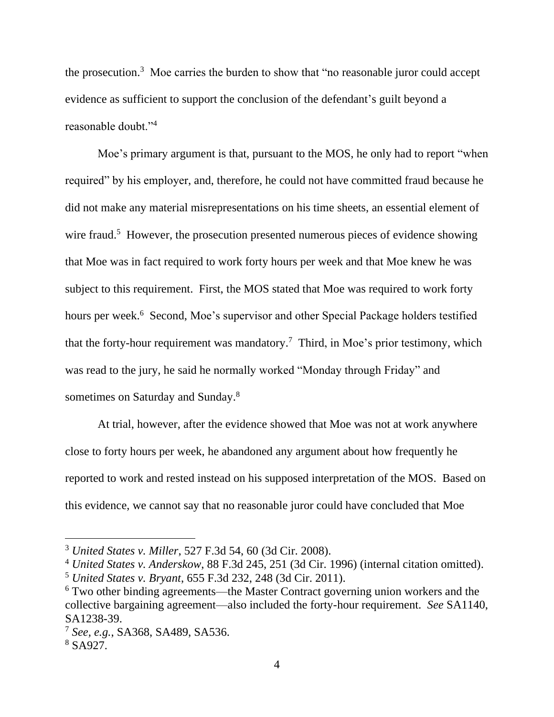the prosecution.<sup>3</sup> Moe carries the burden to show that "no reasonable juror could accept evidence as sufficient to support the conclusion of the defendant's guilt beyond a reasonable doubt."<sup>4</sup>

Moe's primary argument is that, pursuant to the MOS, he only had to report "when required" by his employer, and, therefore, he could not have committed fraud because he did not make any material misrepresentations on his time sheets, an essential element of wire fraud.<sup>5</sup> However, the prosecution presented numerous pieces of evidence showing that Moe was in fact required to work forty hours per week and that Moe knew he was subject to this requirement. First, the MOS stated that Moe was required to work forty hours per week.<sup>6</sup> Second, Moe's supervisor and other Special Package holders testified that the forty-hour requirement was mandatory.<sup>7</sup> Third, in Moe's prior testimony, which was read to the jury, he said he normally worked "Monday through Friday" and sometimes on Saturday and Sunday.<sup>8</sup>

At trial, however, after the evidence showed that Moe was not at work anywhere close to forty hours per week, he abandoned any argument about how frequently he reported to work and rested instead on his supposed interpretation of the MOS. Based on this evidence, we cannot say that no reasonable juror could have concluded that Moe

<sup>3</sup> *United States v. Miller*, 527 F.3d 54, 60 (3d Cir. 2008).

<sup>4</sup> *United States v. Anderskow*, 88 F.3d 245, 251 (3d Cir. 1996) (internal citation omitted).

<sup>5</sup> *United States v. Bryant*, 655 F.3d 232, 248 (3d Cir. 2011).

<sup>6</sup> Two other binding agreements—the Master Contract governing union workers and the collective bargaining agreement—also included the forty-hour requirement. *See* SA1140, SA1238-39.

<sup>7</sup> *See, e.g.*, SA368, SA489, SA536.

<sup>8</sup> SA927.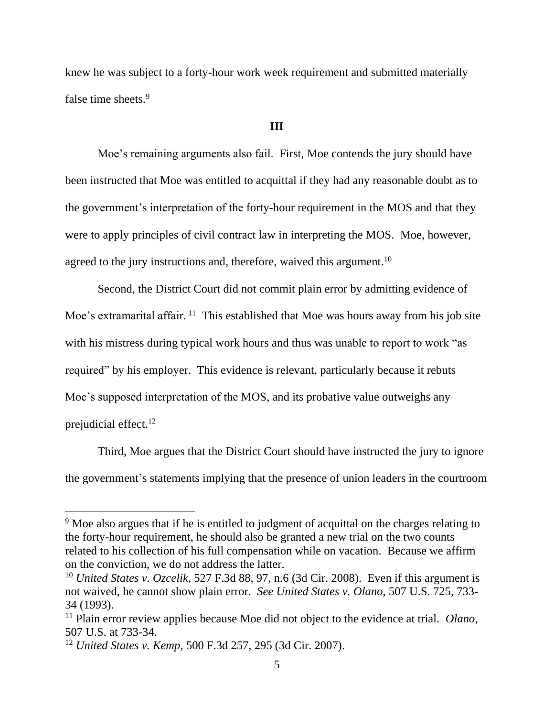knew he was subject to a forty-hour work week requirement and submitted materially false time sheets.<sup>9</sup>

## **III**

Moe's remaining arguments also fail. First, Moe contends the jury should have been instructed that Moe was entitled to acquittal if they had any reasonable doubt as to the government's interpretation of the forty-hour requirement in the MOS and that they were to apply principles of civil contract law in interpreting the MOS. Moe, however, agreed to the jury instructions and, therefore, waived this argument.<sup>10</sup>

Second, the District Court did not commit plain error by admitting evidence of Moe's extramarital affair.<sup>11</sup> This established that Moe was hours away from his job site with his mistress during typical work hours and thus was unable to report to work "as required" by his employer. This evidence is relevant, particularly because it rebuts Moe's supposed interpretation of the MOS, and its probative value outweighs any prejudicial effect.<sup>12</sup>

Third, Moe argues that the District Court should have instructed the jury to ignore the government's statements implying that the presence of union leaders in the courtroom

<sup>&</sup>lt;sup>9</sup> Moe also argues that if he is entitled to judgment of acquittal on the charges relating to the forty-hour requirement, he should also be granted a new trial on the two counts related to his collection of his full compensation while on vacation. Because we affirm on the conviction, we do not address the latter.

<sup>10</sup> *United States v. Ozcelik*, 527 F.3d 88, 97, n.6 (3d Cir. 2008). Even if this argument is not waived, he cannot show plain error. *See United States v. Olano*, 507 U.S. 725, 733- 34 (1993).

<sup>11</sup> Plain error review applies because Moe did not object to the evidence at trial. *Olano*, 507 U.S. at 733-34.

<sup>12</sup> *United States v. Kemp*, 500 F.3d 257, 295 (3d Cir. 2007).